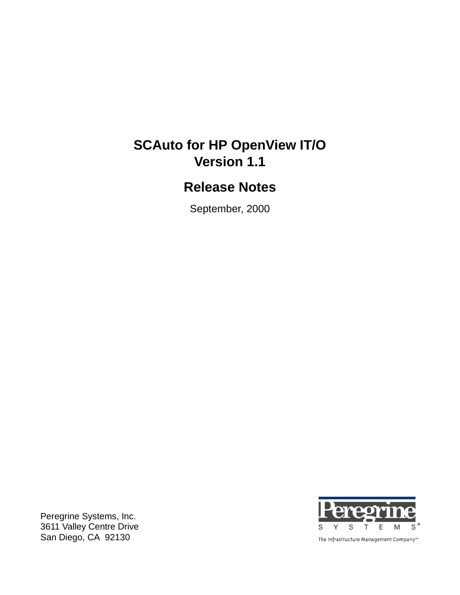# **SCAuto for HP OpenView IT/O Version 1.1**

# **Release Notes**

September, 2000

Peregrine Systems, Inc. 3611 Valley Centre Drive San Diego, CA 92130



The Infrastructure Management Company™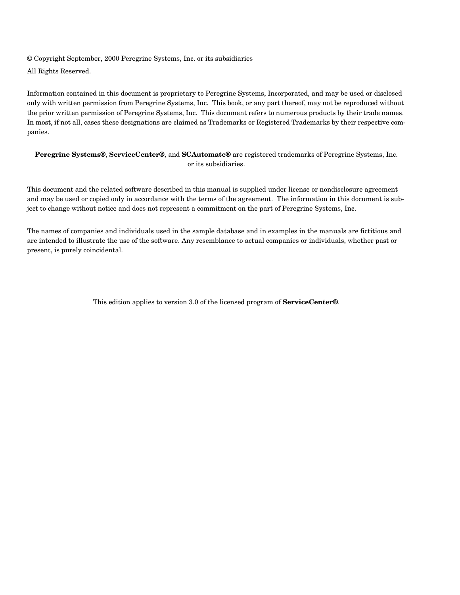© Copyright September, 2000 Peregrine Systems, Inc. or its subsidiaries All Rights Reserved.

Information contained in this document is proprietary to Peregrine Systems, Incorporated, and may be used or disclosed only with written permission from Peregrine Systems, Inc. This book, or any part thereof, may not be reproduced without the prior written permission of Peregrine Systems, Inc. This document refers to numerous products by their trade names. In most, if not all, cases these designations are claimed as Trademarks or Registered Trademarks by their respective companies.

#### **Peregrine Systems®**, **ServiceCenter®**, and **SCAutomate®** are registered trademarks of Peregrine Systems, Inc. or its subsidiaries.

This document and the related software described in this manual is supplied under license or nondisclosure agreement and may be used or copied only in accordance with the terms of the agreement. The information in this document is subject to change without notice and does not represent a commitment on the part of Peregrine Systems, Inc.

The names of companies and individuals used in the sample database and in examples in the manuals are fictitious and are intended to illustrate the use of the software. Any resemblance to actual companies or individuals, whether past or present, is purely coincidental.

This edition applies to version 3.0 of the licensed program of **ServiceCenter®**.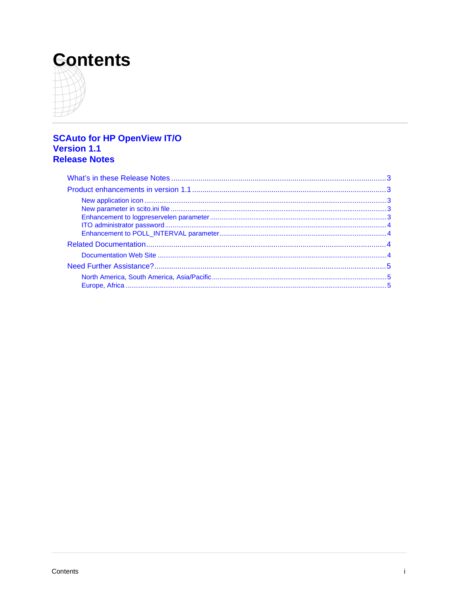# **Contents**



# **SCAuto for HP OpenView IT/O**<br>Version 1.1 **Release Notes**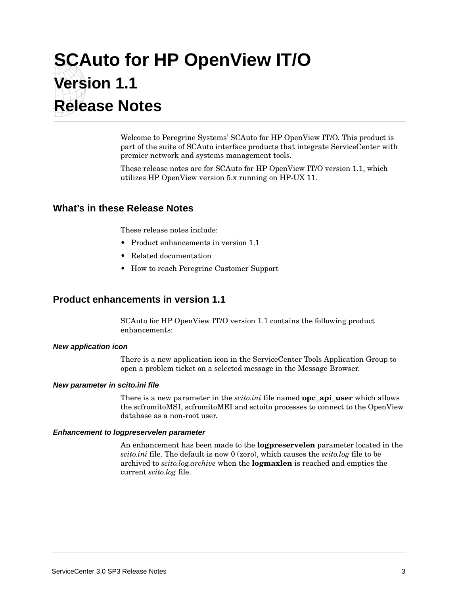# <span id="page-4-0"></span>**SCAuto for HP OpenView IT/O Version 1.1 Release Notes**

Welcome to Peregrine Systems' SCAuto for HP OpenView IT/O. This product is part of the suite of SCAuto interface products that integrate ServiceCenter with premier network and systems management tools.

These release notes are for SCAuto for HP OpenView IT/O version 1.1, which utilizes HP OpenView version 5.x running on HP-UX 11.

### **What's in these Release Notes**

These release notes include:

- Product enhancements in version 1.1
- Related documentation
- How to reach Peregrine Customer Support

### **Product enhancements in version 1.1**

SCAuto for HP OpenView IT/O version 1.1 contains the following product enhancements:

#### **New application icon**

There is a new application icon in the ServiceCenter Tools Application Group to open a problem ticket on a selected message in the Message Browser.

#### **New parameter in scito.ini file**

There is a new parameter in the *scito.ini* file named **opc\_api\_user** which allows the scfromitoMSI, scfromitoMEI and sctoito processes to connect to the OpenView database as a non-root user.

#### **Enhancement to logpreservelen parameter**

An enhancement has been made to the **logpreservelen** parameter located in the *scito.ini* file. The default is now 0 (zero), which causes the *scito.log* file to be archived to *scito.log.archive* when the **logmaxlen** is reached and empties the current *scito.log* file.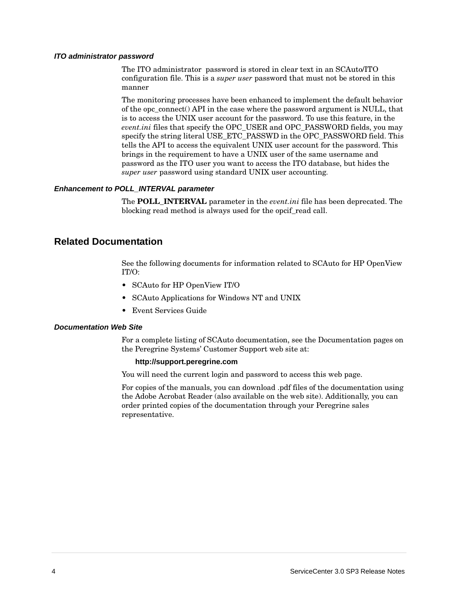#### <span id="page-5-0"></span>**ITO administrator password**

The ITO administrator password is stored in clear text in an SCAuto/ITO configuration file. This is a *super user* password that must not be stored in this manner

The monitoring processes have been enhanced to implement the default behavior of the opc connect() API in the case where the password argument is NULL, that is to access the UNIX user account for the password. To use this feature, in the *event.ini* files that specify the OPC\_USER and OPC\_PASSWORD fields, you may specify the string literal USE\_ETC\_PASSWD in the OPC\_PASSWORD field. This tells the API to access the equivalent UNIX user account for the password. This brings in the requirement to have a UNIX user of the same username and password as the ITO user you want to access the ITO database, but hides the *super user* password using standard UNIX user accounting.

#### **Enhancement to POLL\_INTERVAL parameter**

The **POLL\_INTERVAL** parameter in the *event.ini* file has been deprecated. The blocking read method is always used for the opcif\_read call.

### **Related Documentation**

See the following documents for information related to SCAuto for HP OpenView IT/O:

- SCAuto for HP OpenView IT/O
- SCAuto Applications for Windows NT and UNIX
- Event Services Guide

#### **Documentation Web Site**

For a complete listing of SCAuto documentation, see the Documentation pages on the Peregrine Systems' Customer Support web site at:

#### **http://support.peregrine.com**

You will need the current login and password to access this web page.

For copies of the manuals, you can download .pdf files of the documentation using the Adobe Acrobat Reader (also available on the web site). Additionally, you can order printed copies of the documentation through your Peregrine sales representative.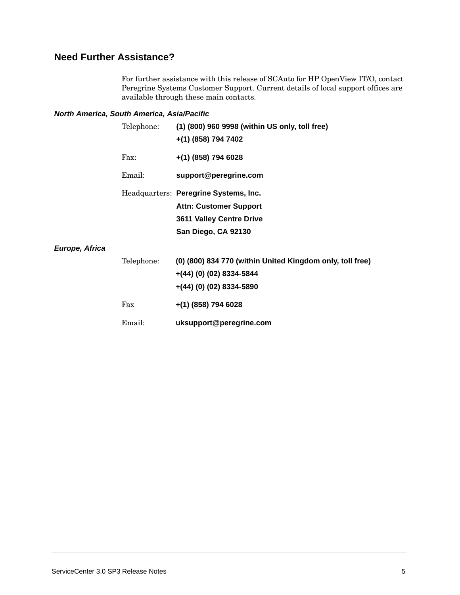## <span id="page-6-0"></span>**Need Further Assistance?**

For further assistance with this release of SCAuto for HP OpenView IT/O, contact Peregrine Systems Customer Support. Current details of local support offices are available through these main contacts.

#### **North America, South America, Asia/Pacific**

|                | Telephone: | (1) (800) 960 9998 (within US only, toll free)<br>+(1) (858) 794 7402 |
|----------------|------------|-----------------------------------------------------------------------|
|                | Fax:       | $+(1)$ (858) 794 6028                                                 |
|                | Email:     | support@peregrine.com                                                 |
|                |            | Headquarters: Peregrine Systems, Inc.                                 |
|                |            | <b>Attn: Customer Support</b>                                         |
|                |            | 3611 Valley Centre Drive                                              |
|                |            | San Diego, CA 92130                                                   |
| Europe, Africa |            |                                                                       |
|                | Telephone: | (0) (800) 834 770 (within United Kingdom only, toll free)             |
|                |            | $+(44)(0)(02)$ 8334-5844                                              |
|                |            | $+(44)(0)(02)$ 8334-5890                                              |
|                | Fax        | $+(1)$ (858) 794 6028                                                 |
|                | Email:     | uksupport@peregrine.com                                               |